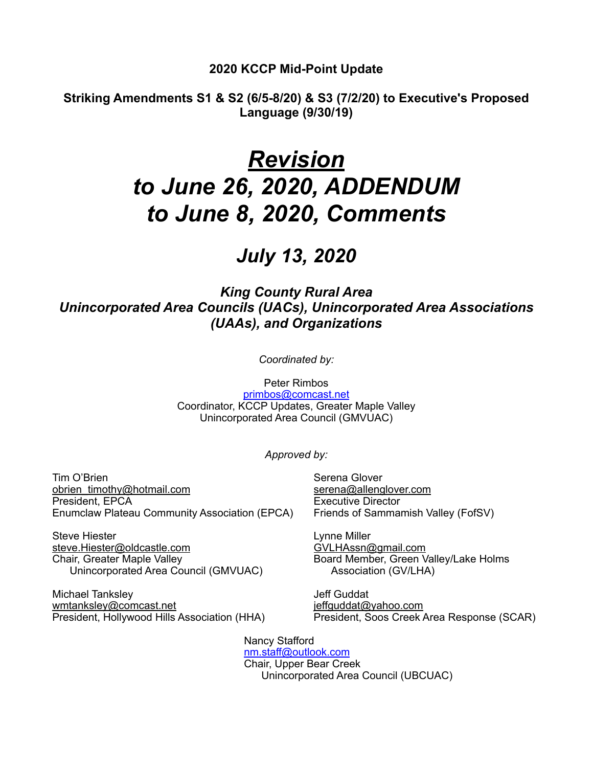## **2020 KCCP Mid-Point Update**

**Striking Amendments S1 & S2 (6/5-8/20) & S3 (7/2/20) to Executive's Proposed Language (9/30/19)** 

# *Revision to June 26, 2020, ADDENDUM to June 8, 2020, Comments*

# *July 13, 2020*

## *King County Rural Area Unincorporated Area Councils (UACs), Unincorporated Area Associations (UAAs), and Organizations*

*Coordinated by:* 

Peter Rimbos [primbos@comcast.net](mailto:primbos@comcast.net) Coordinator, KCCP Updates, Greater Maple Valley Unincorporated Area Council (GMVUAC)

*Approved by:* 

Tim O'Brien Serena Glover [obrien\\_timothy@hotmail.com](mailto:obrien_timothy@hotmail.com) [serena@allenglover.com](mailto:serena@allenglover.com) President, EPCA Executive Director Enumclaw Plateau Community Association (EPCA) Friends of Sammamish Valley (FofSV)

Steve Hiester **Lynne Miller** [steve.Hiester@oldcastle.com](mailto:steve.Hiester@oldcastle.com) [GVLHAssn@gmail.com](mailto:GVLHAssn@gmail.com) Chair, Greater Maple Valley **Board Member, Green Valley/Lake Holms** Unincorporated Area Council (GMVUAC) Association (GV/LHA)

Michael Tanksley **All and Tanksley** Jeff Guddat [wmtanksley@comcast.net](mailto:wmtanksley@comcast.net)<br>
President, Hollywood Hills Association (HHA) President, Soos Creek

President, Soos Creek Area Response (SCAR)

 Nancy Stafford [nm.staff@outlook.com](mailto:nm.staff@outlook.com) Chair, Upper Bear Creek Unincorporated Area Council (UBCUAC)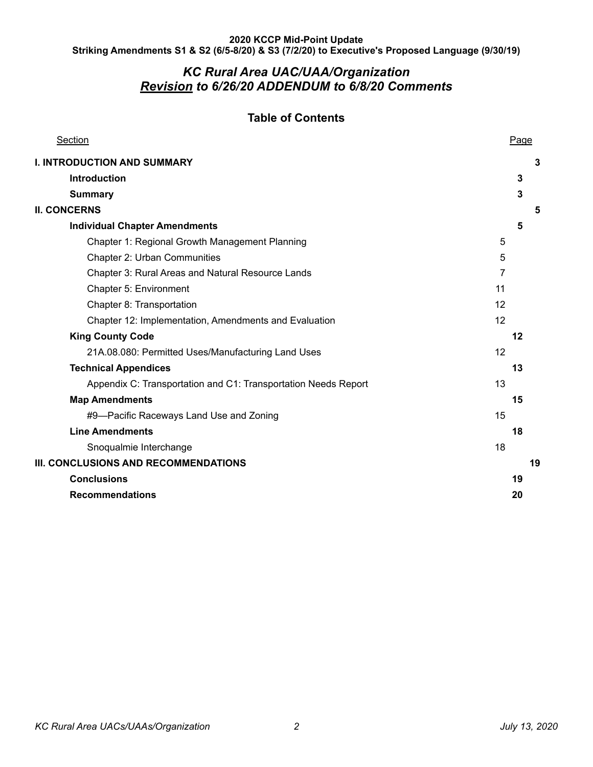## **Table of Contents**

| Section                                                        |    | Page         |    |
|----------------------------------------------------------------|----|--------------|----|
| <b>I. INTRODUCTION AND SUMMARY</b>                             |    |              | 3  |
| <b>Introduction</b>                                            |    | 3            |    |
| <b>Summary</b>                                                 |    | $\mathbf{3}$ |    |
| <b>II. CONCERNS</b>                                            |    |              | 5  |
| <b>Individual Chapter Amendments</b>                           |    | 5            |    |
| Chapter 1: Regional Growth Management Planning                 | 5  |              |    |
| Chapter 2: Urban Communities                                   | 5  |              |    |
| Chapter 3: Rural Areas and Natural Resource Lands              | 7  |              |    |
| Chapter 5: Environment                                         | 11 |              |    |
| Chapter 8: Transportation                                      | 12 |              |    |
| Chapter 12: Implementation, Amendments and Evaluation          | 12 |              |    |
| <b>King County Code</b>                                        |    | 12           |    |
| 21A.08.080: Permitted Uses/Manufacturing Land Uses             | 12 |              |    |
| <b>Technical Appendices</b>                                    |    | 13           |    |
| Appendix C: Transportation and C1: Transportation Needs Report | 13 |              |    |
| <b>Map Amendments</b>                                          |    | 15           |    |
| #9-Pacific Raceways Land Use and Zoning                        | 15 |              |    |
| <b>Line Amendments</b>                                         |    | 18           |    |
| Snoqualmie Interchange                                         | 18 |              |    |
| III. CONCLUSIONS AND RECOMMENDATIONS                           |    |              | 19 |
| <b>Conclusions</b>                                             |    | 19           |    |
| <b>Recommendations</b>                                         |    | 20           |    |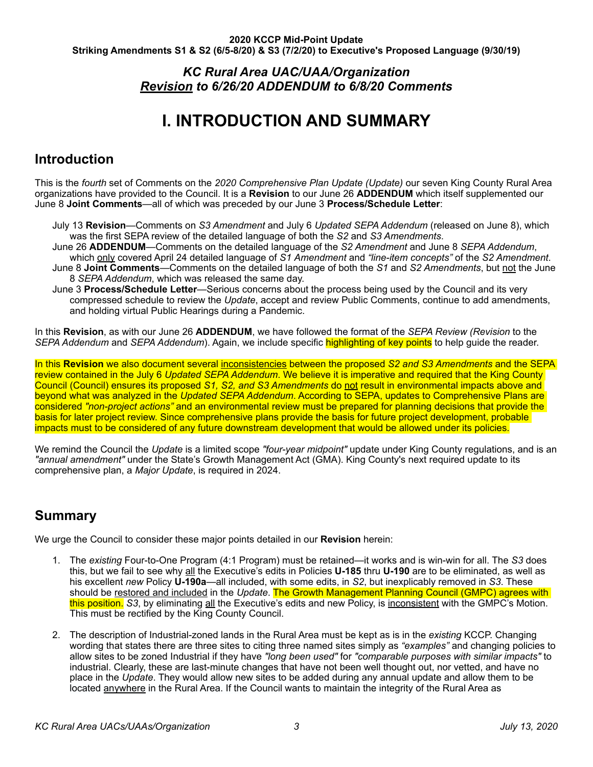# <span id="page-2-0"></span>**I. INTRODUCTION AND SUMMARY**

## <span id="page-2-1"></span>**Introduction**

This is the *fourth* set of Comments on the *2020 Comprehensive Plan Update (Update)* our seven King County Rural Area organizations have provided to the Council. It is a **Revision** to our June 26 **ADDENDUM** which itself supplemented our June 8 **Joint Comments**—all of which was preceded by our June 3 **Process/Schedule Letter**:

- July 13 **Revision**—Comments on *S3 Amendment* and July 6 *Updated SEPA Addendum* (released on June 8), which was the first SEPA review of the detailed language of both the *S2* and *S3 Amendments*.
- June 26 **ADDENDUM**—Comments on the detailed language of the *S2 Amendment* and June 8 *SEPA Addendum*, which only covered April 24 detailed language of *S1 Amendment* and *"line-item concepts"* of the *S2 Amendment*. June 8 **Joint Comments**—Comments on the detailed language of both the *S1* and *S2 Amendments*, but not the June
- 8 *SEPA Addendum*, which was released the same day. June 3 **Process/Schedule Letter**—Serious concerns about the process being used by the Council and its very compressed schedule to review the *Update*, accept and review Public Comments, continue to add amendments, and holding virtual Public Hearings during a Pandemic.

In this **Revision**, as with our June 26 **ADDENDUM**, we have followed the format of the *SEPA Review (Revision* to the *SEPA Addendum* and *SEPA Addendum*). Again, we include specific highlighting of key points to help guide the reader.

In this **Revision** we also document several inconsistencies between the proposed *S2 and S3 Amendments* and the SEPA review contained in the July 6 *Updated SEPA Addendum*. We believe it is imperative and required that the King County Council (Council) ensures its proposed *S1, S2, and S3 Amendments* do not result in environmental impacts above and beyond what was analyzed in the *Updated SEPA Addendum*. According to SEPA, updates to Comprehensive Plans are considered *"non-project actions"* and an environmental review must be prepared for planning decisions that provide the basis for later project review. Since comprehensive plans provide the basis for future project development, probable impacts must to be considered of any future downstream development that would be allowed under its policies.

We remind the Council the *Update* is a limited scope *"four-year midpoint"* update under King County regulations, and is an *"annual amendment"* under the State's Growth Management Act (GMA). King County's next required update to its comprehensive plan, a *Major Update*, is required in 2024.

## <span id="page-2-2"></span>**Summary**

We urge the Council to consider these major points detailed in our **Revision** herein:

- 1. The *existing* Four-to-One Program (4:1 Program) must be retained—it works and is win-win for all. The *S3* does this, but we fail to see why all the Executive's edits in Policies **U-185** thru **U-190** are to be eliminated, as well as his excellent *new* Policy **U-190a**—all included, with some edits, in *S2*, but inexplicably removed in *S3*. These should be restored and included in the *Update*. The Growth Management Planning Council (GMPC) agrees with this position. *S3*, by eliminating all the Executive's edits and new Policy, is inconsistent with the GMPC's Motion. This must be rectified by the King County Council.
- 2. The description of Industrial-zoned lands in the Rural Area must be kept as is in the *existing* KCCP. Changing wording that states there are three sites to citing three named sites simply as *"examples"* and changing policies to allow sites to be zoned Industrial if they have *"long been used"* for *"comparable purposes with similar impacts"* to industrial. Clearly, these are last-minute changes that have not been well thought out, nor vetted, and have no place in the *Update*. They would allow new sites to be added during any annual update and allow them to be located anywhere in the Rural Area. If the Council wants to maintain the integrity of the Rural Area as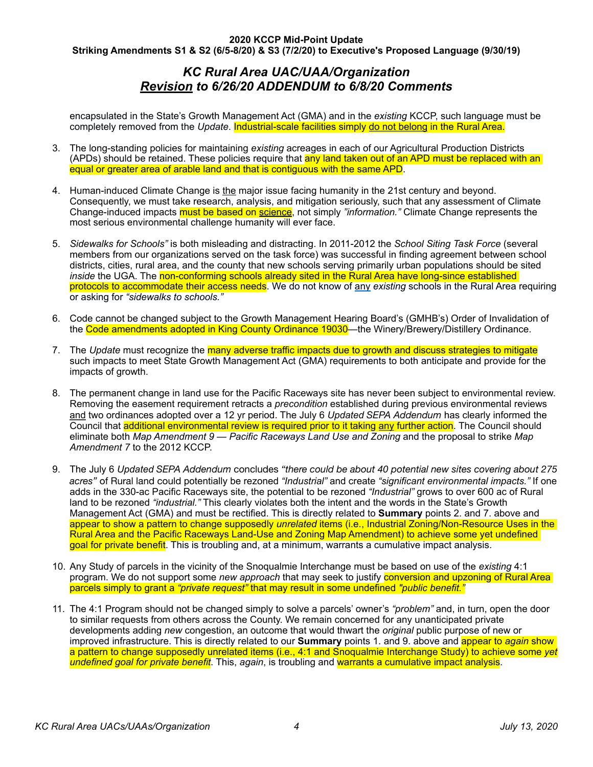encapsulated in the State's Growth Management Act (GMA) and in the *existing* KCCP, such language must be completely removed from the *Update*. Industrial-scale facilities simply do not belong in the Rural Area.

- 3. The long-standing policies for maintaining *existing* acreages in each of our Agricultural Production Districts (APDs) should be retained. These policies require that any land taken out of an APD must be replaced with an equal or greater area of arable land and that is contiguous with the same APD.
- 4. Human-induced Climate Change is the major issue facing humanity in the 21st century and beyond. Consequently, we must take research, analysis, and mitigation seriously, such that any assessment of Climate Change-induced impacts must be based on science, not simply *"information."* Climate Change represents the most serious environmental challenge humanity will ever face.
- 5. *Sidewalks for Schools"* is both misleading and distracting. In 2011-2012 the *School Siting Task Force* (several members from our organizations served on the task force) was successful in finding agreement between school districts, cities, rural area, and the county that new schools serving primarily urban populations should be sited *inside* the UGA. The non-conforming schools already sited in the Rural Area have long-since established protocols to accommodate their access needs. We do not know of any *existing* schools in the Rural Area requiring or asking for *"sidewalks to schools."*
- 6. Code cannot be changed subject to the Growth Management Hearing Board's (GMHB's) Order of Invalidation of the Code amendments adopted in King County Ordinance 19030—the Winery/Brewery/Distillery Ordinance.
- 7. The *Update* must recognize the many adverse traffic impacts due to growth and discuss strategies to mitigate such impacts to meet State Growth Management Act (GMA) requirements to both anticipate and provide for the impacts of growth.
- 8. The permanent change in land use for the Pacific Raceways site has never been subject to environmental review. Removing the easement requirement retracts a *precondition* established during previous environmental reviews and two ordinances adopted over a 12 yr period. The July 6 *Updated SEPA Addendum* has clearly informed the Council that additional environmental review is required prior to it taking any further action. The Council should eliminate both *Map Amendment 9 — Pacific Raceways Land Use and Zoning* and the proposal to strike *Map Amendment 7* to the 2012 KCCP.
- 9. The July 6 *Updated SEPA Addendum* concludes *"there could be about 40 potential new sites covering about 275 acres"* of Rural land could potentially be rezoned *"Industrial"* and create *"significant environmental impacts."* If one adds in the 330-ac Pacific Raceways site, the potential to be rezoned *"Industrial"* grows to over 600 ac of Rural land to be rezoned *"industrial."* This clearly violates both the intent and the words in the State's Growth Management Act (GMA) and must be rectified. This is directly related to **Summary** points 2. and 7. above and appear to show a pattern to change supposedly *unrelated* items (i.e., Industrial Zoning/Non-Resource Uses in the Rural Area and the Pacific Raceways Land-Use and Zoning Map Amendment) to achieve some yet undefined goal for private benefit. This is troubling and, at a minimum, warrants a cumulative impact analysis.
- 10. Any Study of parcels in the vicinity of the Snoqualmie Interchange must be based on use of the *existing* 4:1 program. We do not support some *new approach* that may seek to justify conversion and upzoning of Rural Area parcels simply to grant a *"private request"* that may result in some undefined *"public benefit."*
- 11. The 4:1 Program should not be changed simply to solve a parcels' owner's *"problem"* and, in turn, open the door to similar requests from others across the County. We remain concerned for any unanticipated private developments adding *new* congestion, an outcome that would thwart the *original* public purpose of new or improved infrastructure. This is directly related to our **Summary** points 1. and 9. above and appear to *again* show a pattern to change supposedly unrelated items (i.e., 4:1 and Snoqualmie Interchange Study) to achieve some *yet undefined goal for private benefit*. This, *again*, is troubling and warrants a cumulative impact analysis.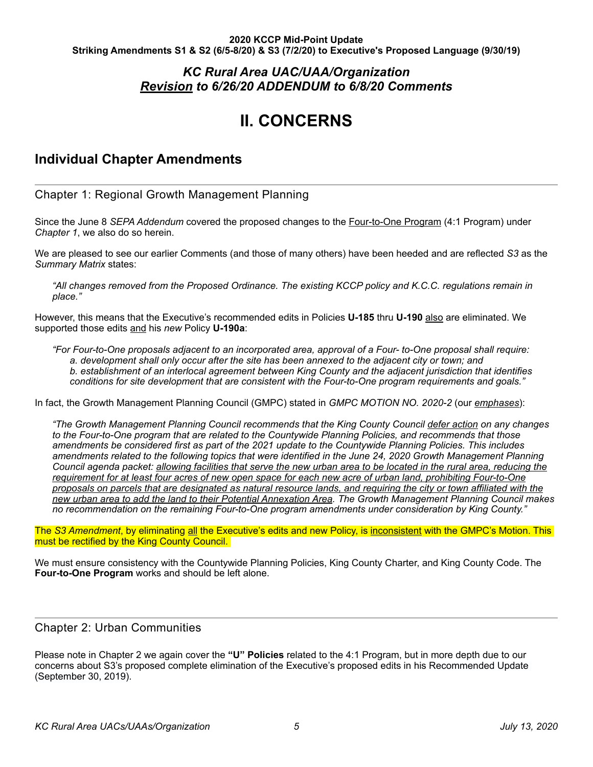# <span id="page-4-0"></span>**II. CONCERNS**

## <span id="page-4-1"></span>**Individual Chapter Amendments**

<span id="page-4-2"></span>Chapter 1: Regional Growth Management Planning

Since the June 8 *SEPA Addendum* covered the proposed changes to the Four-to-One Program (4:1 Program) under *Chapter 1*, we also do so herein.

We are pleased to see our earlier Comments (and those of many others) have been heeded and are reflected *S3* as the *Summary Matrix* states:

*"All changes removed from the Proposed Ordinance. The existing KCCP policy and K.C.C. regulations remain in place."* 

However, this means that the Executive's recommended edits in Policies **U-185** thru **U-190** also are eliminated. We supported those edits and his *new* Policy **U-190a**:

*"For Four-to-One proposals adjacent to an incorporated area, approval of a Four- to-One proposal shall require: a. development shall only occur after the site has been annexed to the adjacent city or town; and b. establishment of an interlocal agreement between King County and the adjacent jurisdiction that identifies conditions for site development that are consistent with the Four-to-One program requirements and goals."* 

In fact, the Growth Management Planning Council (GMPC) stated in *GMPC MOTION NO. 2020-2* (our *emphases*):

*"The Growth Management Planning Council recommends that the King County Council defer action on any changes to the Four-to-One program that are related to the Countywide Planning Policies, and recommends that those amendments be considered first as part of the 2021 update to the Countywide Planning Policies. This includes amendments related to the following topics that were identified in the June 24, 2020 Growth Management Planning Council agenda packet: allowing facilities that serve the new urban area to be located in the rural area, reducing the requirement for at least four acres of new open space for each new acre of urban land, prohibiting Four-to-One proposals on parcels that are designated as natural resource lands, and requiring the city or town affiliated with the new urban area to add the land to their Potential Annexation Area. The Growth Management Planning Council makes no recommendation on the remaining Four-to-One program amendments under consideration by King County."* 

The *S3 Amendment*, by eliminating all the Executive's edits and new Policy, is inconsistent with the GMPC's Motion. This must be rectified by the King County Council.

We must ensure consistency with the Countywide Planning Policies, King County Charter, and King County Code. The **Four-to-One Program** works and should be left alone.

### <span id="page-4-3"></span>Chapter 2: Urban Communities

Please note in Chapter 2 we again cover the **"U" Policies** related to the 4:1 Program, but in more depth due to our concerns about S3's proposed complete elimination of the Executive's proposed edits in his Recommended Update (September 30, 2019).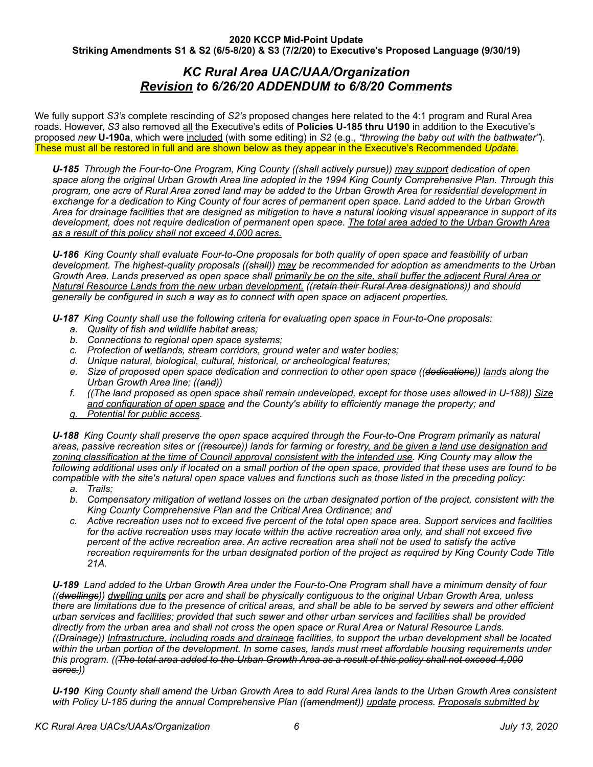## *KC Rural Area UAC/UAA/Organization Revision to 6/26/20 ADDENDUM to 6/8/20 Comments*

We fully support *S3's* complete rescinding of *S2's* proposed changes here related to the 4:1 program and Rural Area roads. However, *S3* also removed all the Executive's edits of **Policies U-185 thru U190** in addition to the Executive's proposed *new* **U-190a**, which were included (with some editing) in *S2* (e.g., *"throwing the baby out with the bathwater"*). These must all be restored in full and are shown below as they appear in the Executive's Recommended *Update*.

*U-185 Through the Four-to-One Program, King County ((shall actively pursue)) may support dedication of open space along the original Urban Growth Area line adopted in the 1994 King County Comprehensive Plan. Through this program, one acre of Rural Area zoned land may be added to the Urban Growth Area for residential development in exchange for a dedication to King County of four acres of permanent open space. Land added to the Urban Growth Area for drainage facilities that are designed as mitigation to have a natural looking visual appearance in support of its development, does not require dedication of permanent open space. The total area added to the Urban Growth Area as a result of this policy shall not exceed 4,000 acres.*

*U-186 King County shall evaluate Four-to-One proposals for both quality of open space and feasibility of urban development. The highest-quality proposals ((shall)) may be recommended for adoption as amendments to the Urban Growth Area. Lands preserved as open space shall primarily be on the site, shall buffer the adjacent Rural Area or Natural Resource Lands from the new urban development, ((retain their Rural Area designations)) and should generally be configured in such a way as to connect with open space on adjacent properties.* 

*U-187 King County shall use the following criteria for evaluating open space in Four-to-One proposals:* 

- *a. Quality of fish and wildlife habitat areas;*
- *b. Connections to regional open space systems;*
- *c. Protection of wetlands, stream corridors, ground water and water bodies;*
- *d. Unique natural, biological, cultural, historical, or archeological features;*
- *e. Size of proposed open space dedication and connection to other open space ((dedications)) lands along the Urban Growth Area line; ((and))*
- *f. ((The land proposed as open space shall remain undeveloped, except for those uses allowed in U-188)) Size and configuration of open space and the County's ability to efficiently manage the property; and*
- *g. Potential for public access.*

*U-188 King County shall preserve the open space acquired through the Four-to-One Program primarily as natural areas, passive recreation sites or ((resource)) lands for farming or forestry, and be given a land use designation and zoning classification at the time of Council approval consistent with the intended use. King County may allow the following additional uses only if located on a small portion of the open space, provided that these uses are found to be compatible with the site's natural open space values and functions such as those listed in the preceding policy:* 

- *a. Trails;*
- *b. Compensatory mitigation of wetland losses on the urban designated portion of the project, consistent with the King County Comprehensive Plan and the Critical Area Ordinance; and*
- *c. Active recreation uses not to exceed five percent of the total open space area. Support services and facilities for the active recreation uses may locate within the active recreation area only, and shall not exceed five*  percent of the active recreation area. An active recreation area shall not be used to satisfy the active recreation requirements for the urban designated portion of the project as required by King County Code Title *21A.*

*U-189 Land added to the Urban Growth Area under the Four-to-One Program shall have a minimum density of four ((dwellings)) dwelling units per acre and shall be physically contiguous to the original Urban Growth Area, unless there are limitations due to the presence of critical areas, and shall be able to be served by sewers and other efficient urban services and facilities; provided that such sewer and other urban services and facilities shall be provided directly from the urban area and shall not cross the open space or Rural Area or Natural Resource Lands. ((Drainage)) Infrastructure, including roads and drainage facilities, to support the urban development shall be located within the urban portion of the development. In some cases, lands must meet affordable housing requirements under this program. ((The total area added to the Urban Growth Area as a result of this policy shall not exceed 4,000 acres.))* 

*U-190 King County shall amend the Urban Growth Area to add Rural Area lands to the Urban Growth Area consistent with Policy U-185 during the annual Comprehensive Plan ((amendment)) update process. Proposals submitted by*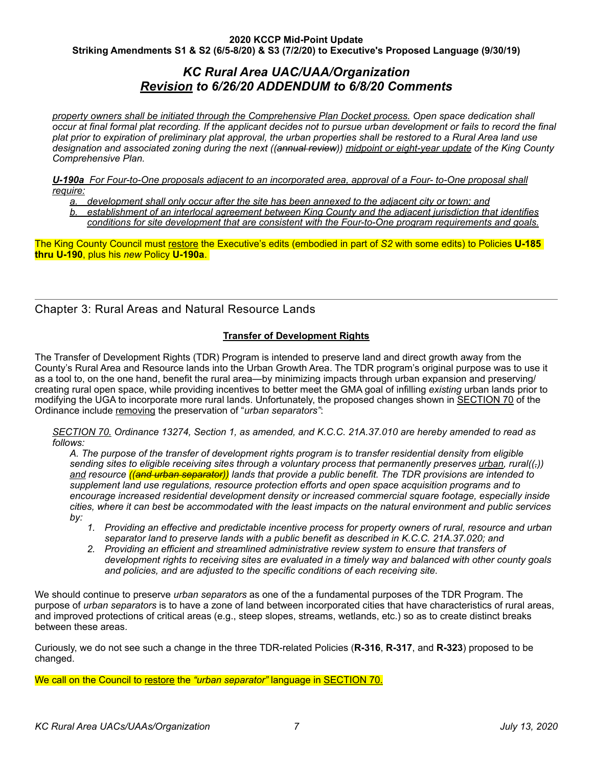*property owners shall be initiated through the Comprehensive Plan Docket process. Open space dedication shall occur at final formal plat recording. If the applicant decides not to pursue urban development or fails to record the final plat prior to expiration of preliminary plat approval, the urban properties shall be restored to a Rural Area land use designation and associated zoning during the next ((annual review)) midpoint or eight-year update of the King County Comprehensive Plan.* 

*U-190a For Four-to-One proposals adjacent to an incorporated area, approval of a Four- to-One proposal shall require:* 

- *a. development shall only occur after the site has been annexed to the adjacent city or town; and*
- *b. establishment of an interlocal agreement between King County and the adjacent jurisdiction that identifies conditions for site development that are consistent with the Four-to-One program requirements and goals.*

The King County Council must restore the Executive's edits (embodied in part of *S2* with some edits) to Policies **U-185 thru U-190**, plus his *new* Policy **U-190a**.

### <span id="page-6-0"></span>Chapter 3: Rural Areas and Natural Resource Lands

#### **Transfer of Development Rights**

The Transfer of Development Rights (TDR) Program is intended to preserve land and direct growth away from the County's Rural Area and Resource lands into the Urban Growth Area. The TDR program's original purpose was to use it as a tool to, on the one hand, benefit the rural area—by minimizing impacts through urban expansion and preserving/ creating rural open space, while providing incentives to better meet the GMA goal of infilling *existing* urban lands prior to modifying the UGA to incorporate more rural lands. Unfortunately, the proposed changes shown in SECTION 70 of the Ordinance include removing the preservation of "*urban separators"*:

*SECTION 70. Ordinance 13274, Section 1, as amended, and K.C.C. 21A.37.010 are hereby amended to read as follows:* 

*A. The purpose of the transfer of development rights program is to transfer residential density from eligible sending sites to eligible receiving sites through a voluntary process that permanently preserves urban, rural((,)) and resource ((and urban separator)) lands that provide a public benefit. The TDR provisions are intended to supplement land use regulations, resource protection efforts and open space acquisition programs and to encourage increased residential development density or increased commercial square footage, especially inside cities, where it can best be accommodated with the least impacts on the natural environment and public services by:* 

- *1. Providing an effective and predictable incentive process for property owners of rural, resource and urban separator land to preserve lands with a public benefit as described in K.C.C. 21A.37.020; and*
- *2. Providing an efficient and streamlined administrative review system to ensure that transfers of development rights to receiving sites are evaluated in a timely way and balanced with other county goals and policies, and are adjusted to the specific conditions of each receiving site.*

We should continue to preserve *urban separators* as one of the a fundamental purposes of the TDR Program. The purpose of *urban separators* is to have a zone of land between incorporated cities that have characteristics of rural areas, and improved protections of critical areas (e.g., steep slopes, streams, wetlands, etc.) so as to create distinct breaks between these areas.

Curiously, we do not see such a change in the three TDR-related Policies (**R-316**, **R-317**, and **R-323**) proposed to be changed.

We call on the Council to restore the *"urban separator"* language in SECTION 70.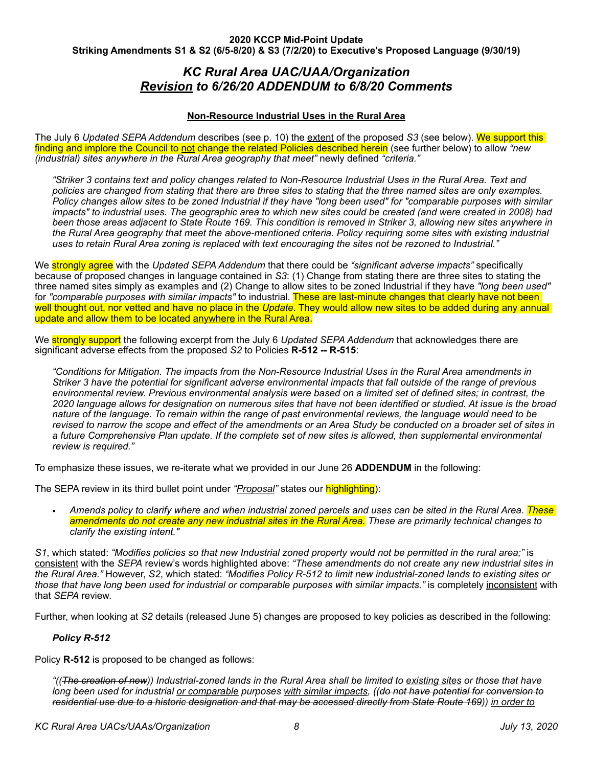#### **Non-Resource Industrial Uses in the Rural Area**

The July 6 *Updated SEPA Addendum* describes (see p. 10) the extent of the proposed *S3* (see below). We support this finding and implore the Council to not change the related Policies described herein (see further below) to allow *"new (industrial) sites anywhere in the Rural Area geography that meet"* newly defined *"criteria."*

*"Striker 3 contains text and policy changes related to Non-Resource Industrial Uses in the Rural Area. Text and policies are changed from stating that there are three sites to stating that the three named sites are only examples. Policy changes allow sites to be zoned Industrial if they have "long been used" for "comparable purposes with similar impacts" to industrial uses. The geographic area to which new sites could be created (and were created in 2008) had been those areas adjacent to State Route 169. This condition is removed in Striker 3, allowing new sites anywhere in the Rural Area geography that meet the above-mentioned criteria. Policy requiring some sites with existing industrial uses to retain Rural Area zoning is replaced with text encouraging the sites not be rezoned to Industrial."* 

We strongly agree with the *Updated SEPA Addendum* that there could be *"significant adverse impacts"* specifically because of proposed changes in language contained in *S3*: (1) Change from stating there are three sites to stating the three named sites simply as examples and (2) Change to allow sites to be zoned Industrial if they have *"long been used"* for *"comparable purposes with similar impacts"* to industrial. These are last-minute changes that clearly have not been well thought out, nor vetted and have no place in the *Update*. They would allow new sites to be added during any annual update and allow them to be located anywhere in the Rural Area.

We **strongly support** the following excerpt from the July 6 *Updated SEPA Addendum* that acknowledges there are significant adverse effects from the proposed *S2* to Policies **R-512 -- R-515**:

*"Conditions for Mitigation. The impacts from the Non-Resource Industrial Uses in the Rural Area amendments in Striker 3 have the potential for significant adverse environmental impacts that fall outside of the range of previous environmental review. Previous environmental analysis were based on a limited set of defined sites; in contrast, the 2020 language allows for designation on numerous sites that have not been identified or studied. At issue is the broad nature of the language. To remain within the range of past environmental reviews, the language would need to be revised to narrow the scope and effect of the amendments or an Area Study be conducted on a broader set of sites in a future Comprehensive Plan update. If the complete set of new sites is allowed, then supplemental environmental review is required."*

To emphasize these issues, we re-iterate what we provided in our June 26 **ADDENDUM** in the following:

The SEPA review in its third bullet point under *"Proposal"* states our highlighting):

*• Amends policy to clarify where and when industrial zoned parcels and uses can be sited in the Rural Area. These amendments do not create any new industrial sites in the Rural Area. These are primarily technical changes to clarify the existing intent."*

*S1*, which stated: *"Modifies policies so that new Industrial zoned property would not be permitted in the rural area;"* is consistent with the *SEPA* review's words highlighted above: *"These amendments do not create any new industrial sites in the Rural Area."* However, *S2*, which stated: *"Modifies Policy R-512 to limit new industrial-zoned lands to existing sites or those that have long been used for industrial or comparable purposes with similar impacts."* is completely inconsistent with that *SEPA* review.

Further, when looking at *S2* details (released June 5) changes are proposed to key policies as described in the following:

#### *Policy R-512*

Policy **R-512** is proposed to be changed as follows:

*"((The creation of new)) Industrial-zoned lands in the Rural Area shall be limited to existing sites or those that have long been used for industrial or comparable purposes with similar impacts, ((do not have potential for conversion to residential use due to a historic designation and that may be accessed directly from State Route 169)) in order to*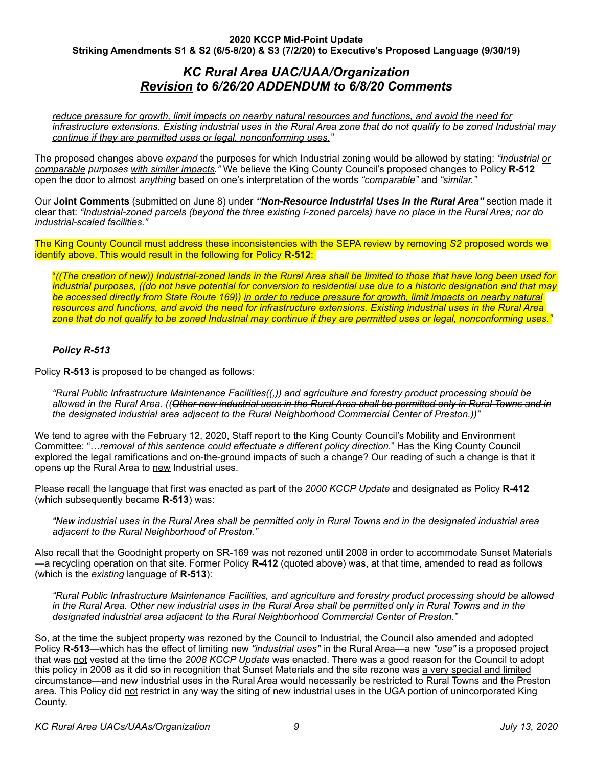## *KC Rural Area UAC/UAA/Organization Revision to 6/26/20 ADDENDUM to 6/8/20 Comments*

*reduce pressure for growth, limit impacts on nearby natural resources and functions, and avoid the need for infrastructure extensions. Existing industrial uses in the Rural Area zone that do not qualify to be zoned Industrial may continue if they are permitted uses or legal, nonconforming uses."*

The proposed changes above *expand* the purposes for which Industrial zoning would be allowed by stating: *"industrial or comparable purposes with similar impacts."* We believe the King County Council's proposed changes to Policy **R-512** open the door to almost *anything* based on one's interpretation of the words *"comparable"* and *"similar."*

Our **Joint Comments** (submitted on June 8) under *"Non-Resource Industrial Uses in the Rural Area"* section made it clear that: *"Industrial-zoned parcels (beyond the three existing I-zoned parcels) have no place in the Rural Area; nor do industrial-scaled facilities."* 

The King County Council must address these inconsistencies with the SEPA review by removing *S2* proposed words we identify above. This would result in the following for Policy **R-512**:

"*((The creation of new)) Industrial-zoned lands in the Rural Area shall be limited to those that have long been used for industrial purposes, ((do not have potential for conversion to residential use due to a historic designation and that may be accessed directly from State Route 169)) in order to reduce pressure for growth, limit impacts on nearby natural resources and functions, and avoid the need for infrastructure extensions. Existing industrial uses in the Rural Area zone that do not qualify to be zoned Industrial may continue if they are permitted uses or legal, nonconforming uses."*

#### *Policy R-513*

Policy **R-513** is proposed to be changed as follows:

*"Rural Public Infrastructure Maintenance Facilities((,)) and agriculture and forestry product processing should be allowed in the Rural Area. ((Other new industrial uses in the Rural Area shall be permitted only in Rural Towns and in the designated industrial area adjacent to the Rural Neighborhood Commercial Center of Preston.))"*

We tend to agree with the February 12, 2020, Staff report to the King County Council's Mobility and Environment Committee: "…*removal of this sentence could effectuate a different policy direction.*" Has the King County Council explored the legal ramifications and on-the-ground impacts of such a change? Our reading of such a change is that it opens up the Rural Area to new Industrial uses.

Please recall the language that first was enacted as part of the *2000 KCCP Update* and designated as Policy **R-412** (which subsequently became **R-513**) was:

*"New industrial uses in the Rural Area shall be permitted only in Rural Towns and in the designated industrial area adjacent to the Rural Neighborhood of Preston."*

Also recall that the Goodnight property on SR-169 was not rezoned until 2008 in order to accommodate Sunset Materials —a recycling operation on that site. Former Policy **R-412** (quoted above) was, at that time, amended to read as follows (which is the *existing* language of **R-513**):

*"Rural Public Infrastructure Maintenance Facilities, and agriculture and forestry product processing should be allowed in the Rural Area. Other new industrial uses in the Rural Area shall be permitted only in Rural Towns and in the designated industrial area adjacent to the Rural Neighborhood Commercial Center of Preston."*

So, at the time the subject property was rezoned by the Council to Industrial, the Council also amended and adopted Policy **R-513**—which has the effect of limiting new *"industrial uses"* in the Rural Area—a new *"use"* is a proposed project that was not vested at the time the *2008 KCCP Update* was enacted. There was a good reason for the Council to adopt this policy in 2008 as it did so in recognition that Sunset Materials and the site rezone was a very special and limited circumstance—and new industrial uses in the Rural Area would necessarily be restricted to Rural Towns and the Preston area. This Policy did not restrict in any way the siting of new industrial uses in the UGA portion of unincorporated King County.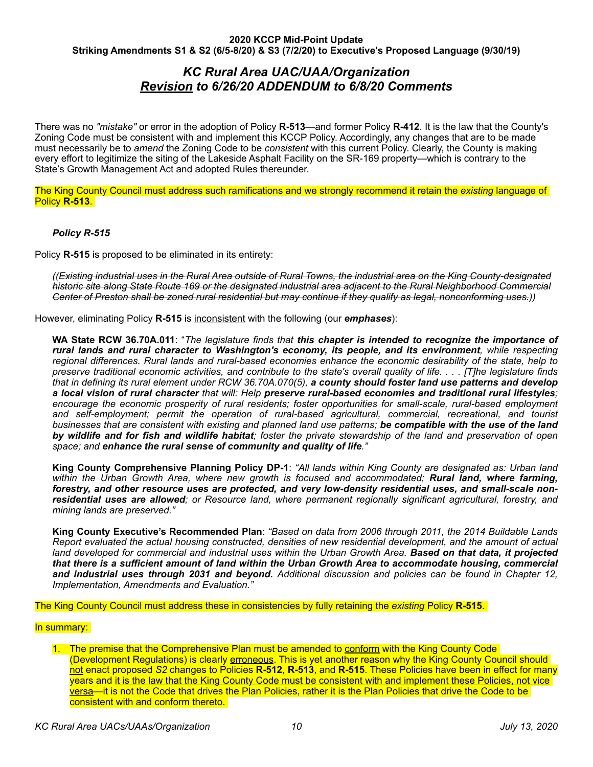There was no *"mistake"* or error in the adoption of Policy **R-513**—and former Policy **R-412**. It is the law that the County's Zoning Code must be consistent with and implement this KCCP Policy. Accordingly, any changes that are to be made must necessarily be to *amend* the Zoning Code to be *consistent* with this current Policy. Clearly, the County is making every effort to legitimize the siting of the Lakeside Asphalt Facility on the SR-169 property—which is contrary to the State's Growth Management Act and adopted Rules thereunder.

The King County Council must address such ramifications and we strongly recommend it retain the *existing* language of Policy **R-513**.

#### *Policy R-515*

Policy **R-515** is proposed to be eliminated in its entirety:

*((Existing industrial uses in the Rural Area outside of Rural Towns, the industrial area on the King County-designated historic site along State Route 169 or the designated industrial area adjacent to the Rural Neighborhood Commercial Center of Preston shall be zoned rural residential but may continue if they qualify as legal, nonconforming uses.))*

However, eliminating Policy **R-515** is inconsistent with the following (our *emphases*):

**WA State RCW 36.70A.011**: "*The legislature finds that this chapter is intended to recognize the importance of rural lands and rural character to Washington's economy, its people, and its environment, while respecting regional differences. Rural lands and rural-based economies enhance the economic desirability of the state, help to preserve traditional economic activities, and contribute to the state's overall quality of life. . . . [T]he legislature finds that in defining its rural element under RCW 36.70A.070(5), a county should foster land use patterns and develop a local vision of rural character that will: Help preserve rural-based economies and traditional rural lifestyles; encourage the economic prosperity of rural residents; foster opportunities for small-scale, rural-based employment and self-employment; permit the operation of rural-based agricultural, commercial, recreational, and tourist businesses that are consistent with existing and planned land use patterns; be compatible with the use of the land by wildlife and for fish and wildlife habitat; foster the private stewardship of the land and preservation of open space; and enhance the rural sense of community and quality of life."*

**King County Comprehensive Planning Policy DP-1**: *"All lands within King County are designated as: Urban land*  within the Urban Growth Area, where new growth is focused and accommodated; **Rural land, where farming,** *forestry, and other resource uses are protected, and very low-density residential uses, and small-scale nonresidential uses are allowed; or Resource land, where permanent regionally significant agricultural, forestry, and mining lands are preserved."* 

**King County Executive's Recommended Plan**: *"Based on data from 2006 through 2011, the 2014 Buildable Lands Report evaluated the actual housing constructed, densities of new residential development, and the amount of actual land developed for commercial and industrial uses within the Urban Growth Area. Based on that data, it projected that there is a sufficient amount of land within the Urban Growth Area to accommodate housing, commercial and industrial uses through 2031 and beyond. Additional discussion and policies can be found in Chapter 12, Implementation, Amendments and Evaluation."*

The King County Council must address these in consistencies by fully retaining the *existing* Policy **R-515**.

#### In summary:

1. The premise that the Comprehensive Plan must be amended to conform with the King County Code (Development Regulations) is clearly erroneous. This is yet another reason why the King County Council should not enact proposed *S2* changes to Policies **R-512**, **R-513**, and **R-515**. These Policies have been in effect for many years and it is the law that the King County Code must be consistent with and implement these Policies, not vice versa—it is not the Code that drives the Plan Policies, rather it is the Plan Policies that drive the Code to be consistent with and conform thereto.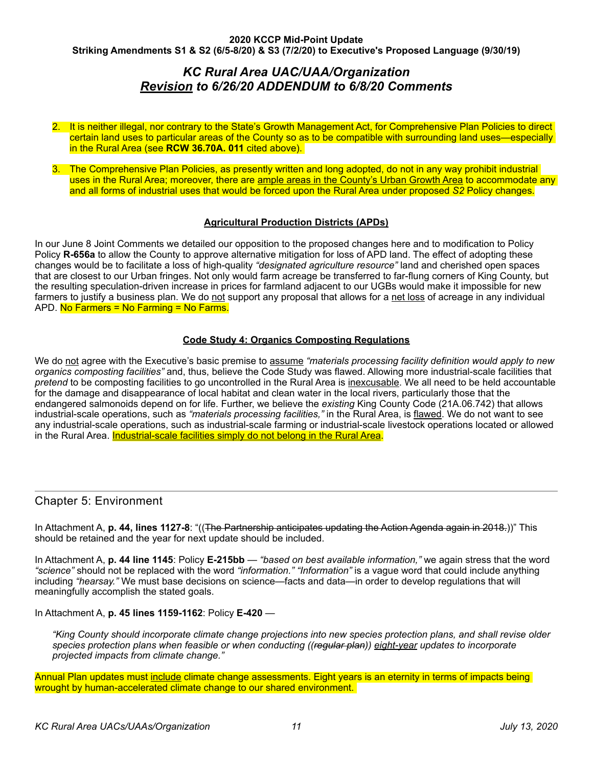- 2. It is neither illegal, nor contrary to the State's Growth Management Act, for Comprehensive Plan Policies to direct certain land uses to particular areas of the County so as to be compatible with surrounding land uses—especially in the Rural Area (see **RCW 36.70A. 011** cited above).
- The Comprehensive Plan Policies, as presently written and long adopted, do not in any way prohibit industrial uses in the Rural Area; moreover, there are ample areas in the County's Urban Growth Area to accommodate any and all forms of industrial uses that would be forced upon the Rural Area under proposed *S2* Policy changes.

### **Agricultural Production Districts (APDs)**

In our June 8 Joint Comments we detailed our opposition to the proposed changes here and to modification to Policy Policy **R-656a** to allow the County to approve alternative mitigation for loss of APD land. The effect of adopting these changes would be to facilitate a loss of high-quality *"designated agriculture resource"* land and cherished open spaces that are closest to our Urban fringes. Not only would farm acreage be transferred to far-flung corners of King County, but the resulting speculation-driven increase in prices for farmland adjacent to our UGBs would make it impossible for new farmers to justify a business plan. We do not support any proposal that allows for a net loss of acreage in any individual APD. No Farmers = No Farming = No Farms.

#### **Code Study 4: Organics Composting Regulations**

We do not agree with the Executive's basic premise to assume "materials processing facility definition would apply to new *organics composting facilities"* and, thus, believe the Code Study was flawed. Allowing more industrial-scale facilities that *pretend* to be composting facilities to go uncontrolled in the Rural Area is inexcusable. We all need to be held accountable for the damage and disappearance of local habitat and clean water in the local rivers, particularly those that the endangered salmonoids depend on for life. Further, we believe the *existing* King County Code (21A.06.742) that allows industrial-scale operations, such as *"materials processing facilities,"* in the Rural Area, is flawed. We do not want to see any industrial-scale operations, such as industrial-scale farming or industrial-scale livestock operations located or allowed in the Rural Area. **Industrial-scale facilities simply do not belong in the Rural Area.** 

### <span id="page-10-0"></span>Chapter 5: Environment

In Attachment A, **p. 44, lines 1127-8**: "((The Partnership anticipates updating the Action Agenda again in 2018.))" This should be retained and the year for next update should be included.

In Attachment A, **p. 44 line 1145**: Policy **E-215bb** — *"based on best available information,"* we again stress that the word *"science"* should not be replaced with the word *"information." "Information"* is a vague word that could include anything including *"hearsay."* We must base decisions on science—facts and data—in order to develop regulations that will meaningfully accomplish the stated goals.

#### In Attachment A, **p. 45 lines 1159-1162**: Policy **E-420** —

*"King County should incorporate climate change projections into new species protection plans, and shall revise older species protection plans when feasible or when conducting ((regular plan)) eight-year updates to incorporate projected impacts from climate change."* 

Annual Plan updates must include climate change assessments. Eight years is an eternity in terms of impacts being wrought by human-accelerated climate change to our shared environment.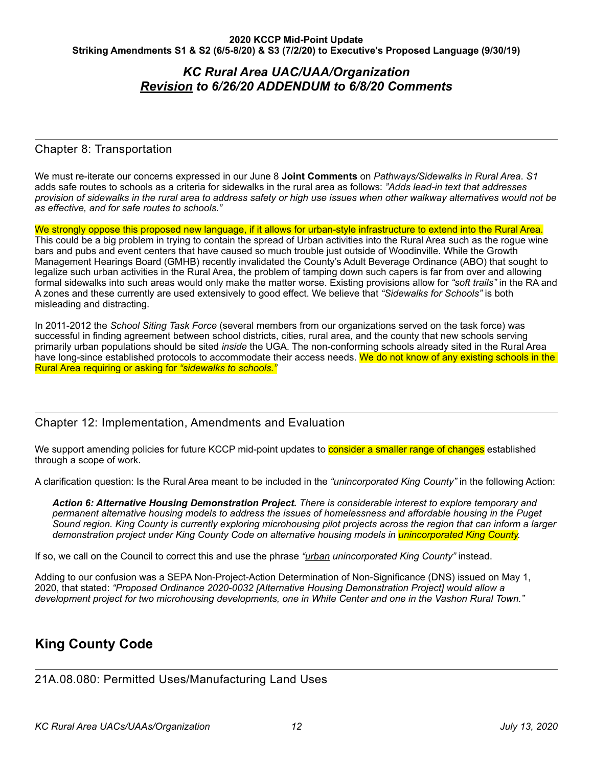### <span id="page-11-0"></span>Chapter 8: Transportation

We must re-iterate our concerns expressed in our June 8 **Joint Comments** on *Pathways/Sidewalks in Rural Area*. *S1*  adds safe routes to schools as a criteria for sidewalks in the rural area as follows: *"Adds lead-in text that addresses provision of sidewalks in the rural area to address safety or high use issues when other walkway alternatives would not be as effective, and for safe routes to schools."* 

We strongly oppose this proposed new language, if it allows for urban-style infrastructure to extend into the Rural Area. This could be a big problem in trying to contain the spread of Urban activities into the Rural Area such as the rogue wine bars and pubs and event centers that have caused so much trouble just outside of Woodinville. While the Growth Management Hearings Board (GMHB) recently invalidated the County's Adult Beverage Ordinance (ABO) that sought to legalize such urban activities in the Rural Area, the problem of tamping down such capers is far from over and allowing formal sidewalks into such areas would only make the matter worse. Existing provisions allow for *"soft trails"* in the RA and A zones and these currently are used extensively to good effect. We believe that *"Sidewalks for Schools"* is both misleading and distracting.

In 2011-2012 the *School Siting Task Force* (several members from our organizations served on the task force) was successful in finding agreement between school districts, cities, rural area, and the county that new schools serving primarily urban populations should be sited *inside* the UGA. The non-conforming schools already sited in the Rural Area have long-since established protocols to accommodate their access needs. We do not know of any existing schools in the Rural Area requiring or asking for *"sidewalks to schools."*

### <span id="page-11-1"></span>Chapter 12: Implementation, Amendments and Evaluation

We support amending policies for future KCCP mid-point updates to consider a smaller range of changes established through a scope of work.

A clarification question: Is the Rural Area meant to be included in the *"unincorporated King County"* in the following Action:

*Action 6: Alternative Housing Demonstration Project. There is considerable interest to explore temporary and permanent alternative housing models to address the issues of homelessness and affordable housing in the Puget Sound region. King County is currently exploring microhousing pilot projects across the region that can inform a larger demonstration project under King County Code on alternative housing models in unincorporated King County.* 

If so, we call on the Council to correct this and use the phrase *"urban unincorporated King County"* instead.

Adding to our confusion was a SEPA Non-Project-Action Determination of Non-Significance (DNS) issued on May 1, 2020, that stated: *"Proposed Ordinance 2020-0032 [Alternative Housing Demonstration Project] would allow a development project for two microhousing developments, one in White Center and one in the Vashon Rural Town."*

## <span id="page-11-2"></span>**King County Code**

<span id="page-11-3"></span>21A.08.080: Permitted Uses/Manufacturing Land Uses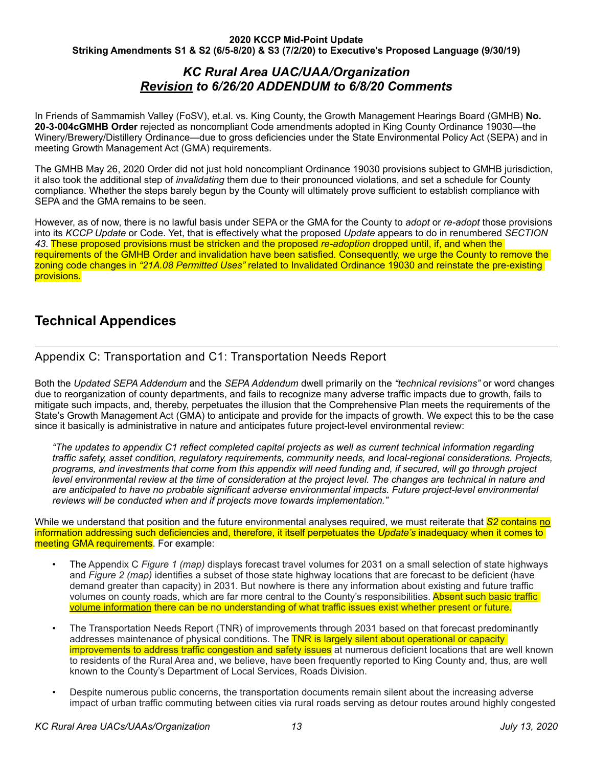## *KC Rural Area UAC/UAA/Organization Revision to 6/26/20 ADDENDUM to 6/8/20 Comments*

In Friends of Sammamish Valley (FoSV), et.al. vs. King County, the Growth Management Hearings Board (GMHB) **No. 20-3-004cGMHB Order** rejected as noncompliant Code amendments adopted in King County Ordinance 19030—the Winery/Brewery/Distillery Ordinance—due to gross deficiencies under the State Environmental Policy Act (SEPA) and in meeting Growth Management Act (GMA) requirements.

The GMHB May 26, 2020 Order did not just hold noncompliant Ordinance 19030 provisions subject to GMHB jurisdiction, it also took the additional step of *invalidating* them due to their pronounced violations, and set a schedule for County compliance. Whether the steps barely begun by the County will ultimately prove sufficient to establish compliance with SEPA and the GMA remains to be seen.

However, as of now, there is no lawful basis under SEPA or the GMA for the County to *adopt* or *re-adopt* those provisions into its *KCCP Update* or Code. Yet, that is effectively what the proposed *Update* appears to do in renumbered *SECTION 43*. These proposed provisions must be stricken and the proposed *re-adoption* dropped until, if, and when the requirements of the GMHB Order and invalidation have been satisfied. Consequently, we urge the County to remove the zoning code changes in *"21A.08 Permitted Uses"* related to Invalidated Ordinance 19030 and reinstate the pre-existing provisions.

## <span id="page-12-0"></span>**Technical Appendices**

### <span id="page-12-1"></span>Appendix C: Transportation and C1: Transportation Needs Report

Both the *Updated SEPA Addendum* and the *SEPA Addendum* dwell primarily on the *"technical revisions"* or word changes due to reorganization of county departments, and fails to recognize many adverse traffic impacts due to growth, fails to mitigate such impacts, and, thereby, perpetuates the illusion that the Comprehensive Plan meets the requirements of the State's Growth Management Act (GMA) to anticipate and provide for the impacts of growth. We expect this to be the case since it basically is administrative in nature and anticipates future project-level environmental review:

*"The updates to appendix C1 reflect completed capital projects as well as current technical information regarding traffic safety, asset condition, regulatory requirements, community needs, and local-regional considerations. Projects, programs, and investments that come from this appendix will need funding and, if secured, will go through project level environmental review at the time of consideration at the project level. The changes are technical in nature and are anticipated to have no probable significant adverse environmental impacts. Future project-level environmental reviews will be conducted when and if projects move towards implementation."* 

While we understand that position and the future environmental analyses required, we must reiterate that *S2* contains no information addressing such deficiencies and, therefore, it itself perpetuates the *Update's* inadequacy when it comes to meeting GMA requirements. For example:

- The Appendix C *Figure 1 (map)* displays forecast travel volumes for 2031 on a small selection of state highways and *Figure 2 (map)* identifies a subset of those state highway locations that are forecast to be deficient (have demand greater than capacity) in 2031. But nowhere is there any information about existing and future traffic volumes on county roads, which are far more central to the County's responsibilities. Absent such basic traffic volume information there can be no understanding of what traffic issues exist whether present or future.
- The Transportation Needs Report (TNR) of improvements through 2031 based on that forecast predominantly addresses maintenance of physical conditions. The **TNR is largely silent about operational or capacity** improvements to address traffic congestion and safety issues at numerous deficient locations that are well known to residents of the Rural Area and, we believe, have been frequently reported to King County and, thus, are well known to the County's Department of Local Services, Roads Division.
- Despite numerous public concerns, the transportation documents remain silent about the increasing adverse impact of urban traffic commuting between cities via rural roads serving as detour routes around highly congested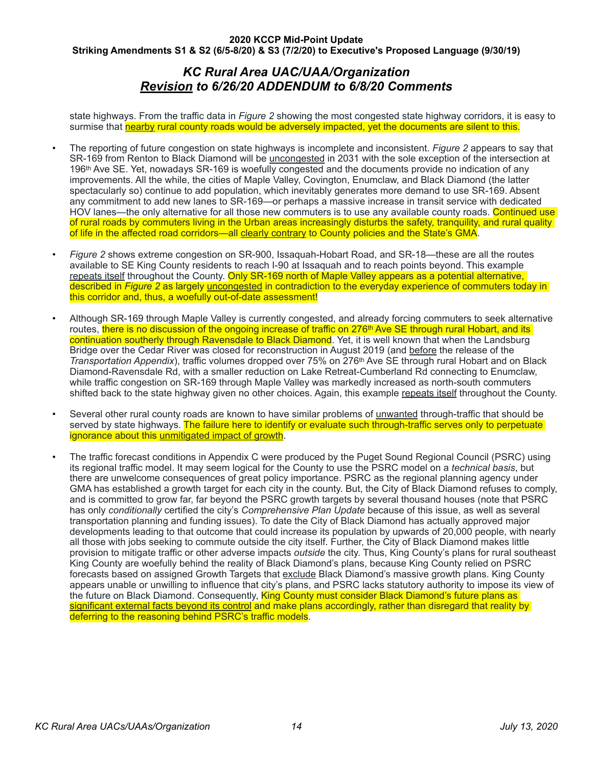## *KC Rural Area UAC/UAA/Organization Revision to 6/26/20 ADDENDUM to 6/8/20 Comments*

state highways. From the traffic data in *Figure 2* showing the most congested state highway corridors, it is easy to surmise that nearby rural county roads would be adversely impacted, yet the documents are silent to this.

- The reporting of future congestion on state highways is incomplete and inconsistent. *Figure 2* appears to say that SR-169 from Renton to Black Diamond will be uncongested in 2031 with the sole exception of the intersection at 196th Ave SE. Yet, nowadays SR-169 is woefully congested and the documents provide no indication of any improvements. All the while, the cities of Maple Valley, Covington, Enumclaw, and Black Diamond (the latter spectacularly so) continue to add population, which inevitably generates more demand to use SR-169. Absent any commitment to add new lanes to SR-169—or perhaps a massive increase in transit service with dedicated HOV lanes—the only alternative for all those new commuters is to use any available county roads. Continued use of rural roads by commuters living in the Urban areas increasingly disturbs the safety, tranquility, and rural quality of life in the affected road corridors—all clearly contrary to County policies and the State's GMA.
- *Figure 2* shows extreme congestion on SR-900, Issaquah-Hobart Road, and SR-18—these are all the routes available to SE King County residents to reach I-90 at Issaquah and to reach points beyond. This example repeats itself throughout the County. Only SR-169 north of Maple Valley appears as a potential alternative, described in *Figure 2* as largely uncongested in contradiction to the everyday experience of commuters today in this corridor and, thus, a woefully out-of-date assessment!
- Although SR-169 through Maple Valley is currently congested, and already forcing commuters to seek alternative routes, there is no discussion of the ongoing increase of traffic on 276<sup>th</sup> Ave SE through rural Hobart, and its continuation southerly through Ravensdale to Black Diamond. Yet, it is well known that when the Landsburg Bridge over the Cedar River was closed for reconstruction in August 2019 (and before the release of the *Transportation Appendix*), traffic volumes dropped over 75% on 276<sup>th</sup> Ave SE through rural Hobart and on Black Diamond-Ravensdale Rd, with a smaller reduction on Lake Retreat-Cumberland Rd connecting to Enumclaw, while traffic congestion on SR-169 through Maple Valley was markedly increased as north-south commuters shifted back to the state highway given no other choices. Again, this example repeats itself throughout the County.
- Several other rural county roads are known to have similar problems of unwanted through-traffic that should be served by state highways. The failure here to identify or evaluate such through-traffic serves only to perpetuate ignorance about this unmitigated impact of growth.
- The traffic forecast conditions in Appendix C were produced by the Puget Sound Regional Council (PSRC) using its regional traffic model. It may seem logical for the County to use the PSRC model on a *technical basis*, but there are unwelcome consequences of great policy importance. PSRC as the regional planning agency under GMA has established a growth target for each city in the county. But, the City of Black Diamond refuses to comply, and is committed to grow far, far beyond the PSRC growth targets by several thousand houses (note that PSRC has only *conditionally* certified the city's *Comprehensive Plan Update* because of this issue, as well as several transportation planning and funding issues). To date the City of Black Diamond has actually approved major developments leading to that outcome that could increase its population by upwards of 20,000 people, with nearly all those with jobs seeking to commute outside the city itself. Further, the City of Black Diamond makes little provision to mitigate traffic or other adverse impacts *outside* the city. Thus, King County's plans for rural southeast King County are woefully behind the reality of Black Diamond's plans, because King County relied on PSRC forecasts based on assigned Growth Targets that exclude Black Diamond's massive growth plans. King County appears unable or unwilling to influence that city's plans, and PSRC lacks statutory authority to impose its view of the future on Black Diamond. Consequently, King County must consider Black Diamond's future plans as significant external facts beyond its control and make plans accordingly, rather than disregard that reality by deferring to the reasoning behind PSRC's traffic models.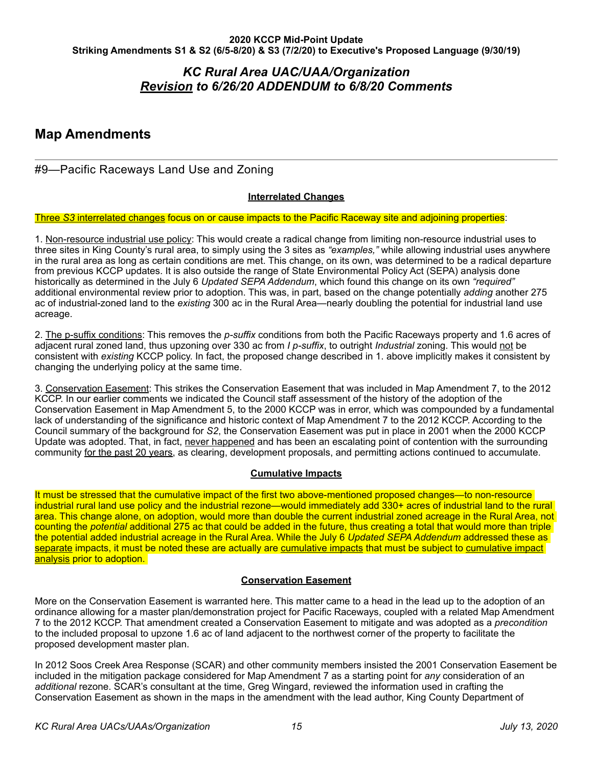## <span id="page-14-0"></span>**Map Amendments**

### <span id="page-14-1"></span>#9—Pacific Raceways Land Use and Zoning

#### **Interrelated Changes**

Three *S3* interrelated changes focus on or cause impacts to the Pacific Raceway site and adjoining properties:

1. Non-resource industrial use policy: This would create a radical change from limiting non-resource industrial uses to three sites in King County's rural area, to simply using the 3 sites as *"examples,"* while allowing industrial uses anywhere in the rural area as long as certain conditions are met. This change, on its own, was determined to be a radical departure from previous KCCP updates. It is also outside the range of State Environmental Policy Act (SEPA) analysis done historically as determined in the July 6 *Updated SEPA Addendum*, which found this change on its own *"required"* additional environmental review prior to adoption. This was, in part, based on the change potentially *adding* another 275 ac of industrial-zoned land to the *existing* 300 ac in the Rural Area—nearly doubling the potential for industrial land use acreage.

2. The p-suffix conditions: This removes the *p-suffix* conditions from both the Pacific Raceways property and 1.6 acres of adjacent rural zoned land, thus upzoning over 330 ac from *I p-suffix*, to outright *Industrial* zoning. This would not be consistent with *existing* KCCP policy. In fact, the proposed change described in 1. above implicitly makes it consistent by changing the underlying policy at the same time.

3. Conservation Easement: This strikes the Conservation Easement that was included in Map Amendment 7, to the 2012 KCCP. In our earlier comments we indicated the Council staff assessment of the history of the adoption of the Conservation Easement in Map Amendment 5, to the 2000 KCCP was in error, which was compounded by a fundamental lack of understanding of the significance and historic context of Map Amendment 7 to the 2012 KCCP. According to the Council summary of the background for *S2*, the Conservation Easement was put in place in 2001 when the 2000 KCCP Update was adopted. That, in fact, never happened and has been an escalating point of contention with the surrounding community for the past 20 years, as clearing, development proposals, and permitting actions continued to accumulate.

#### **Cumulative Impacts**

It must be stressed that the cumulative impact of the first two above-mentioned proposed changes—to non-resource industrial rural land use policy and the industrial rezone—would immediately add 330+ acres of industrial land to the rural area. This change alone, on adoption, would more than double the current industrial zoned acreage in the Rural Area, not counting the *potential* additional 275 ac that could be added in the future, thus creating a total that would more than triple the potential added industrial acreage in the Rural Area. While the July 6 *Updated SEPA Addendum* addressed these as separate impacts, it must be noted these are actually are cumulative impacts that must be subject to cumulative impact analysis prior to adoption.

#### **Conservation Easement**

More on the Conservation Easement is warranted here. This matter came to a head in the lead up to the adoption of an ordinance allowing for a master plan/demonstration project for Pacific Raceways, coupled with a related Map Amendment 7 to the 2012 KCCP. That amendment created a Conservation Easement to mitigate and was adopted as a *precondition* to the included proposal to upzone 1.6 ac of land adjacent to the northwest corner of the property to facilitate the proposed development master plan.

In 2012 Soos Creek Area Response (SCAR) and other community members insisted the 2001 Conservation Easement be included in the mitigation package considered for Map Amendment 7 as a starting point for *any* consideration of an *additional* rezone. SCAR's consultant at the time, Greg Wingard, reviewed the information used in crafting the Conservation Easement as shown in the maps in the amendment with the lead author, King County Department of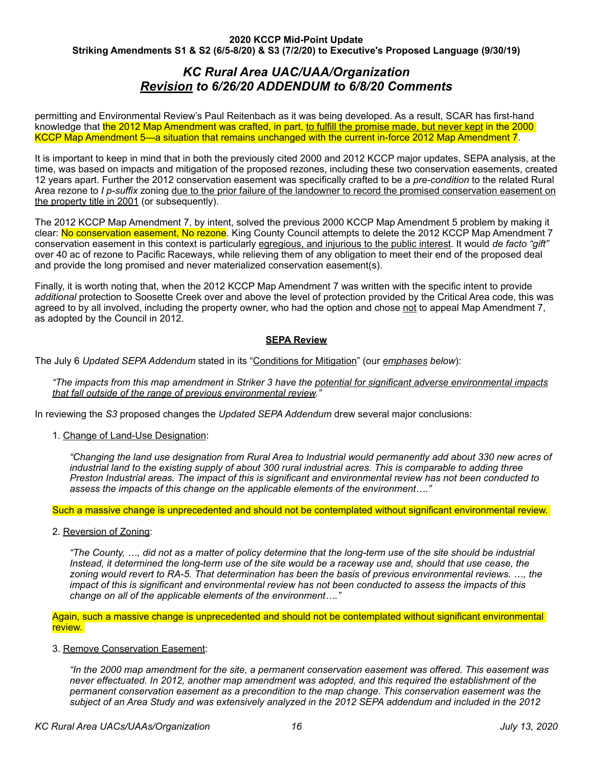## *KC Rural Area UAC/UAA/Organization Revision to 6/26/20 ADDENDUM to 6/8/20 Comments*

permitting and Environmental Review's Paul Reitenbach as it was being developed. As a result, SCAR has first-hand knowledge that the 2012 Map Amendment was crafted, in part, to fulfill the promise made, but never kept in the 2000 KCCP Map Amendment 5—a situation that remains unchanged with the current in-force 2012 Map Amendment 7.

It is important to keep in mind that in both the previously cited 2000 and 2012 KCCP major updates, SEPA analysis, at the time, was based on impacts and mitigation of the proposed rezones, including these two conservation easements, created 12 years apart. Further the 2012 conservation easement was specifically crafted to be a *pre-condition* to the related Rural Area rezone to *I p-suffix* zoning <u>due to the prior failure of the landowner to record the promised conservation easement on</u> the property title in 2001 (or subsequently).

The 2012 KCCP Map Amendment 7, by intent, solved the previous 2000 KCCP Map Amendment 5 problem by making it clear: No conservation easement, No rezone. King County Council attempts to delete the 2012 KCCP Map Amendment 7 conservation easement in this context is particularly egregious, and injurious to the public interest. It would *de facto "gift"* over 40 ac of rezone to Pacific Raceways, while relieving them of any obligation to meet their end of the proposed deal and provide the long promised and never materialized conservation easement(s).

Finally, it is worth noting that, when the 2012 KCCP Map Amendment 7 was written with the specific intent to provide *additional* protection to Soosette Creek over and above the level of protection provided by the Critical Area code, this was agreed to by all involved, including the property owner, who had the option and chose not to appeal Map Amendment 7, as adopted by the Council in 2012.

#### **SEPA Review**

The July 6 *Updated SEPA Addendum* stated in its "Conditions for Mitigation" (our *emphases below*):

*"The impacts from this map amendment in Striker 3 have the potential for significant adverse environmental impacts that fall outside of the range of previous environmental review."* 

In reviewing the *S3* proposed changes the *Updated SEPA Addendum* drew several major conclusions:

1. Change of Land-Use Designation:

*"Changing the land use designation from Rural Area to Industrial would permanently add about 330 new acres of industrial land to the existing supply of about 300 rural industrial acres. This is comparable to adding three Preston Industrial areas. The impact of this is significant and environmental review has not been conducted to assess the impacts of this change on the applicable elements of the environment…."*

#### Such a massive change is unprecedented and should not be contemplated without significant environmental review.

2. Reversion of Zoning:

*"The County, …, did not as a matter of policy determine that the long-term use of the site should be industrial Instead, it determined the long-term use of the site would be a raceway use and, should that use cease, the zoning would revert to RA-5. That determination has been the basis of previous environmental reviews. …, the impact of this is significant and environmental review has not been conducted to assess the impacts of this change on all of the applicable elements of the environment…."* 

Again, such a massive change is unprecedented and should not be contemplated without significant environmental review.

#### 3. Remove Conservation Easement:

*"In the 2000 map amendment for the site, a permanent conservation easement was offered. This easement was never effectuated. In 2012, another map amendment was adopted, and this required the establishment of the permanent conservation easement as a precondition to the map change. This conservation easement was the subject of an Area Study and was extensively analyzed in the 2012 SEPA addendum and included in the 2012*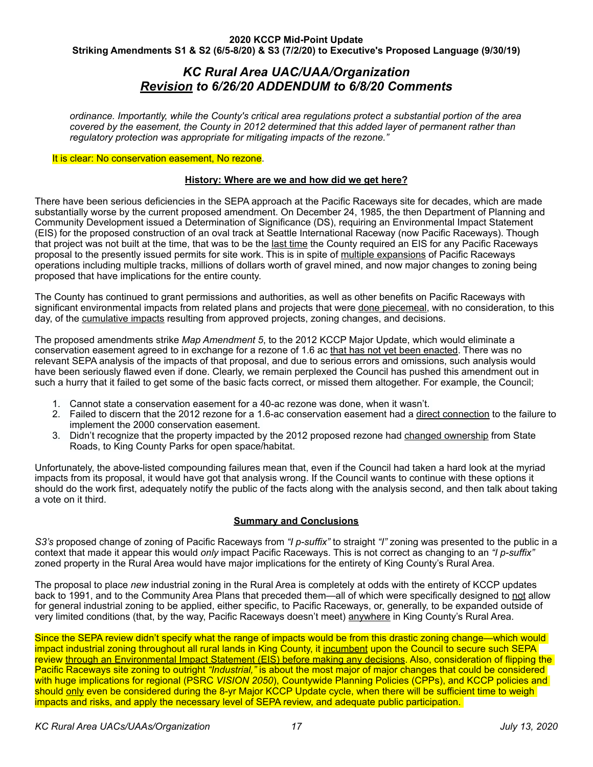## *KC Rural Area UAC/UAA/Organization Revision to 6/26/20 ADDENDUM to 6/8/20 Comments*

*ordinance. Importantly, while the County's critical area regulations protect a substantial portion of the area covered by the easement, the County in 2012 determined that this added layer of permanent rather than regulatory protection was appropriate for mitigating impacts of the rezone."* 

#### It is clear: No conservation easement. No rezone.

#### **History: Where are we and how did we get here?**

There have been serious deficiencies in the SEPA approach at the Pacific Raceways site for decades, which are made substantially worse by the current proposed amendment. On December 24, 1985, the then Department of Planning and Community Development issued a Determination of Significance (DS), requiring an Environmental Impact Statement (EIS) for the proposed construction of an oval track at Seattle International Raceway (now Pacific Raceways). Though that project was not built at the time, that was to be the last time the County required an EIS for any Pacific Raceways proposal to the presently issued permits for site work. This is in spite of multiple expansions of Pacific Raceways operations including multiple tracks, millions of dollars worth of gravel mined, and now major changes to zoning being proposed that have implications for the entire county.

The County has continued to grant permissions and authorities, as well as other benefits on Pacific Raceways with significant environmental impacts from related plans and projects that were done piecemeal, with no consideration, to this day, of the cumulative impacts resulting from approved projects, zoning changes, and decisions.

The proposed amendments strike *Map Amendment 5*, to the 2012 KCCP Major Update, which would eliminate a conservation easement agreed to in exchange for a rezone of 1.6 ac that has not yet been enacted. There was no relevant SEPA analysis of the impacts of that proposal, and due to serious errors and omissions, such analysis would have been seriously flawed even if done. Clearly, we remain perplexed the Council has pushed this amendment out in such a hurry that it failed to get some of the basic facts correct, or missed them altogether. For example, the Council;

- 1. Cannot state a conservation easement for a 40-ac rezone was done, when it wasn't.
- 2. Failed to discern that the 2012 rezone for a 1.6-ac conservation easement had a direct connection to the failure to implement the 2000 conservation easement.
- 3. Didn't recognize that the property impacted by the 2012 proposed rezone had changed ownership from State Roads, to King County Parks for open space/habitat.

Unfortunately, the above-listed compounding failures mean that, even if the Council had taken a hard look at the myriad impacts from its proposal, it would have got that analysis wrong. If the Council wants to continue with these options it should do the work first, adequately notify the public of the facts along with the analysis second, and then talk about taking a vote on it third.

#### **Summary and Conclusions**

*S3's* proposed change of zoning of Pacific Raceways from *"I p-suffix"* to straight *"I"* zoning was presented to the public in a context that made it appear this would *only* impact Pacific Raceways. This is not correct as changing to an *"I p-suffix"* zoned property in the Rural Area would have major implications for the entirety of King County's Rural Area.

The proposal to place *new* industrial zoning in the Rural Area is completely at odds with the entirety of KCCP updates back to 1991, and to the Community Area Plans that preceded them—all of which were specifically designed to not allow for general industrial zoning to be applied, either specific, to Pacific Raceways, or, generally, to be expanded outside of very limited conditions (that, by the way, Pacific Raceways doesn't meet) anywhere in King County's Rural Area.

Since the SEPA review didn't specify what the range of impacts would be from this drastic zoning change—which would impact industrial zoning throughout all rural lands in King County, it incumbent upon the Council to secure such SEPA review through an Environmental Impact Statement (EIS) before making any decisions. Also, consideration of flipping the Pacific Raceways site zoning to outright *"Industrial,"* is about the most major of major changes that could be considered with huge implications for regional (PSRC *VISION 2050*), Countywide Planning Policies (CPPs), and KCCP policies and should only even be considered during the 8-yr Major KCCP Update cycle, when there will be sufficient time to weigh impacts and risks, and apply the necessary level of SEPA review, and adequate public participation.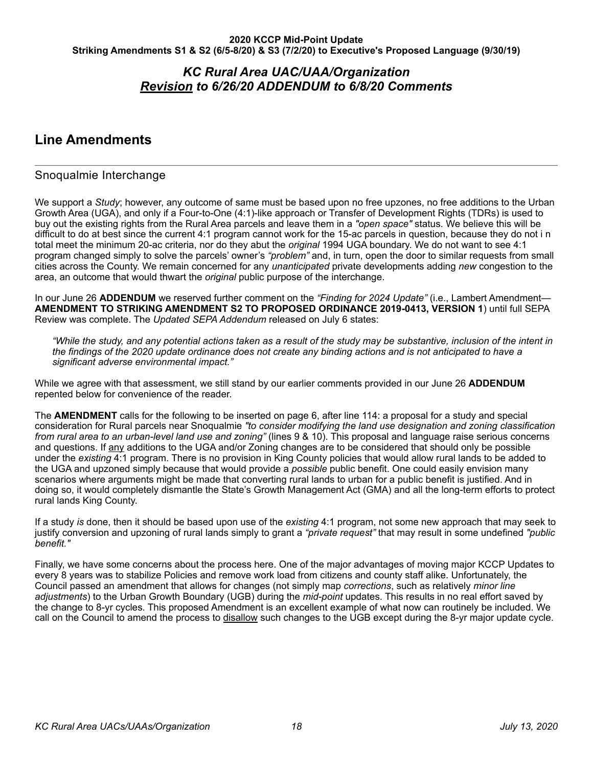## <span id="page-17-0"></span>**Line Amendments**

### <span id="page-17-1"></span>Snoqualmie Interchange

We support a *Study*; however, any outcome of same must be based upon no free upzones, no free additions to the Urban Growth Area (UGA), and only if a Four-to-One (4:1)-like approach or Transfer of Development Rights (TDRs) is used to buy out the existing rights from the Rural Area parcels and leave them in a *"open space"* status. We believe this will be difficult to do at best since the current 4:1 program cannot work for the 15-ac parcels in question, because they do not i n total meet the minimum 20-ac criteria, nor do they abut the *original* 1994 UGA boundary. We do not want to see 4:1 program changed simply to solve the parcels' owner's *"problem"* and, in turn, open the door to similar requests from small cities across the County. We remain concerned for any *unanticipated* private developments adding *new* congestion to the area, an outcome that would thwart the *original* public purpose of the interchange.

In our June 26 **ADDENDUM** we reserved further comment on the *"Finding for 2024 Update"* (i.e., Lambert Amendment— **AMENDMENT TO STRIKING AMENDMENT S2 TO PROPOSED ORDINANCE 2019-0413, VERSION 1**) until full SEPA Review was complete. The *Updated SEPA Addendum* released on July 6 states:

*"While the study, and any potential actions taken as a result of the study may be substantive, inclusion of the intent in the findings of the 2020 update ordinance does not create any binding actions and is not anticipated to have a significant adverse environmental impact."*

While we agree with that assessment, we still stand by our earlier comments provided in our June 26 **ADDENDUM** repented below for convenience of the reader.

The **AMENDMENT** calls for the following to be inserted on page 6, after line 114: a proposal for a study and special consideration for Rural parcels near Snoqualmie *"to consider modifying the land use designation and zoning classification from rural area to an urban-level land use and zoning"* (lines 9 & 10). This proposal and language raise serious concerns and questions. If any additions to the UGA and/or Zoning changes are to be considered that should only be possible under the *existing* 4:1 program. There is no provision in King County policies that would allow rural lands to be added to the UGA and upzoned simply because that would provide a *possible* public benefit. One could easily envision many scenarios where arguments might be made that converting rural lands to urban for a public benefit is justified. And in doing so, it would completely dismantle the State's Growth Management Act (GMA) and all the long-term efforts to protect rural lands King County.

If a study *is* done, then it should be based upon use of the *existing* 4:1 program, not some new approach that may seek to justify conversion and upzoning of rural lands simply to grant a *"private request"* that may result in some undefined *"public benefit."*

Finally, we have some concerns about the process here. One of the major advantages of moving major KCCP Updates to every 8 years was to stabilize Policies and remove work load from citizens and county staff alike. Unfortunately, the Council passed an amendment that allows for changes (not simply map *corrections*, such as relatively *minor line adjustments*) to the Urban Growth Boundary (UGB) during the *mid-point* updates. This results in no real effort saved by the change to 8-yr cycles. This proposed Amendment is an excellent example of what now can routinely be included. We call on the Council to amend the process to disallow such changes to the UGB except during the 8-yr major update cycle.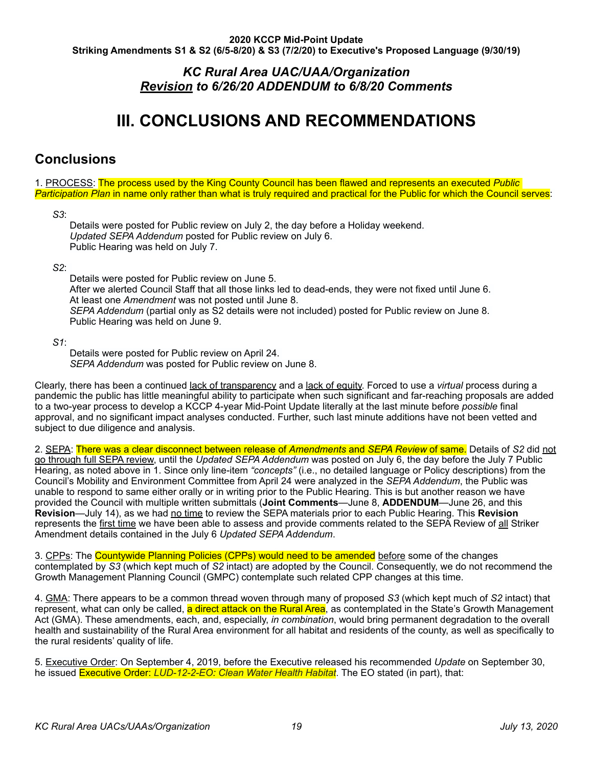# <span id="page-18-0"></span>**III. CONCLUSIONS AND RECOMMENDATIONS**

## <span id="page-18-1"></span>**Conclusions**

1. PROCESS: The process used by the King County Council has been flawed and represents an executed *Public Participation Plan* in name only rather than what is truly required and practical for the Public for which the Council serves:

#### *S3*:

Details were posted for Public review on July 2, the day before a Holiday weekend. *Updated SEPA Addendum* posted for Public review on July 6. Public Hearing was held on July 7.

#### *S2*:

Details were posted for Public review on June 5. After we alerted Council Staff that all those links led to dead-ends, they were not fixed until June 6. At least one *Amendment* was not posted until June 8. *SEPA Addendum* (partial only as S2 details were not included) posted for Public review on June 8. Public Hearing was held on June 9.

*S1*:

Details were posted for Public review on April 24. *SEPA Addendum* was posted for Public review on June 8.

Clearly, there has been a continued lack of transparency and a lack of equity. Forced to use a *virtual* process during a pandemic the public has little meaningful ability to participate when such significant and far-reaching proposals are added to a two-year process to develop a KCCP 4-year Mid-Point Update literally at the last minute before *possible* final approval, and no significant impact analyses conducted. Further, such last minute additions have not been vetted and subject to due diligence and analysis.

2. SEPA: There was a clear disconnect between release of *Amendments* and *SEPA Review* of same. Details of *S2* did not go through full SEPA review, until the *Updated SEPA Addendum* was posted on July 6, the day before the July 7 Public Hearing, as noted above in 1. Since only line-item *"concepts"* (i.e., no detailed language or Policy descriptions) from the Council's Mobility and Environment Committee from April 24 were analyzed in the *SEPA Addendum*, the Public was unable to respond to same either orally or in writing prior to the Public Hearing. This is but another reason we have provided the Council with multiple written submittals (**Joint Comments**—June 8, **ADDENDUM**—June 26, and this **Revision**—July 14), as we had no time to review the SEPA materials prior to each Public Hearing. This **Revision** represents the first time we have been able to assess and provide comments related to the SEPA Review of all Striker Amendment details contained in the July 6 *Updated SEPA Addendum*.

3. CPPs: The Countywide Planning Policies (CPPs) would need to be amended before some of the changes contemplated by *S3* (which kept much of *S2* intact) are adopted by the Council. Consequently, we do not recommend the Growth Management Planning Council (GMPC) contemplate such related CPP changes at this time.

4. GMA: There appears to be a common thread woven through many of proposed *S3* (which kept much of *S2* intact) that represent, what can only be called, a direct attack on the Rural Area, as contemplated in the State's Growth Management Act (GMA). These amendments, each, and, especially, *in combination*, would bring permanent degradation to the overall health and sustainability of the Rural Area environment for all habitat and residents of the county, as well as specifically to the rural residents' quality of life.

5. Executive Order: On September 4, 2019, before the Executive released his recommended *Update* on September 30, he issued Executive Order: *LUD-12-2-EO: Clean Water Health Habitat*. The EO stated (in part), that: